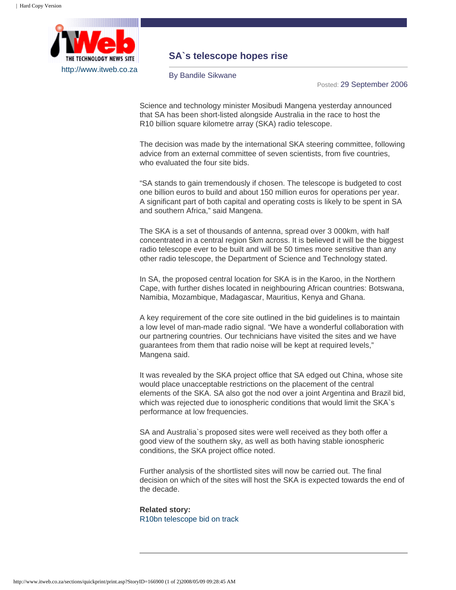

## **SA`s telescope hopes rise**

By Bandile Sikwane

Posted: 29 September 2006

Science and technology minister Mosibudi Mangena yesterday announced that SA has been short-listed alongside Australia in the race to host the R10 billion square kilometre array (SKA) radio telescope.

The decision was made by the international SKA steering committee, following advice from an external committee of seven scientists, from five countries, who evaluated the four site bids.

"SA stands to gain tremendously if chosen. The telescope is budgeted to cost one billion euros to build and about 150 million euros for operations per year. A significant part of both capital and operating costs is likely to be spent in SA and southern Africa," said Mangena.

The SKA is a set of thousands of antenna, spread over 3 000km, with half concentrated in a central region 5km across. It is believed it will be the biggest radio telescope ever to be built and will be 50 times more sensitive than any other radio telescope, the Department of Science and Technology stated.

In SA, the proposed central location for SKA is in the Karoo, in the Northern Cape, with further dishes located in neighbouring African countries: Botswana, Namibia, Mozambique, Madagascar, Mauritius, Kenya and Ghana.

A key requirement of the core site outlined in the bid guidelines is to maintain a low level of man-made radio signal. "We have a wonderful collaboration with our partnering countries. Our technicians have visited the sites and we have guarantees from them that radio noise will be kept at required levels," Mangena said.

It was revealed by the SKA project office that SA edged out China, whose site would place unacceptable restrictions on the placement of the central elements of the SKA. SA also got the nod over a joint Argentina and Brazil bid, which was rejected due to ionospheric conditions that would limit the SKA`s performance at low frequencies.

SA and Australia`s proposed sites were well received as they both offer a good view of the southern sky, as well as both having stable ionospheric conditions, the SKA project office noted.

Further analysis of the shortlisted sites will now be carried out. The final decision on which of the sites will host the SKA is expected towards the end of the decade.

**Related story:** [R10bn telescope bid on track](http://www.itweb.co.za/sections/telecoms/2006/0605302232.asp?S=All%20Africa%20News&A=AFN&O=FRGN)